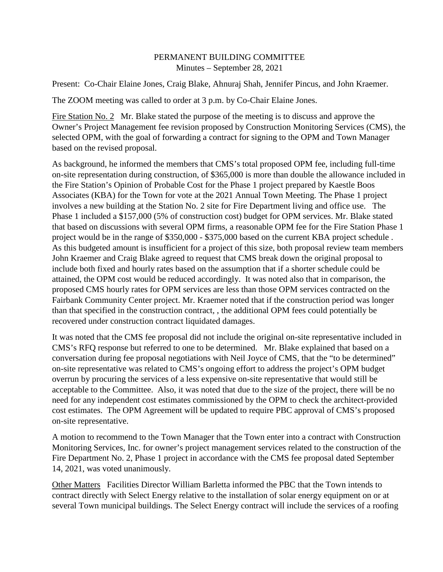## PERMANENT BUILDING COMMITTEE Minutes – September 28, 2021

Present: Co-Chair Elaine Jones, Craig Blake, Ahnuraj Shah, Jennifer Pincus, and John Kraemer.

The ZOOM meeting was called to order at 3 p.m. by Co-Chair Elaine Jones.

Fire Station No. 2 Mr. Blake stated the purpose of the meeting is to discuss and approve the Owner's Project Management fee revision proposed by Construction Monitoring Services (CMS), the selected OPM, with the goal of forwarding a contract for signing to the OPM and Town Manager based on the revised proposal.

As background, he informed the members that CMS's total proposed OPM fee, including full-time on-site representation during construction, of \$365,000 is more than double the allowance included in the Fire Station's Opinion of Probable Cost for the Phase 1 project prepared by Kaestle Boos Associates (KBA) for the Town for vote at the 2021 Annual Town Meeting. The Phase 1 project involves a new building at the Station No. 2 site for Fire Department living and office use. The Phase 1 included a \$157,000 (5% of construction cost) budget for OPM services. Mr. Blake stated that based on discussions with several OPM firms, a reasonable OPM fee for the Fire Station Phase 1 project would be in the range of \$350,000 - \$375,000 based on the current KBA project schedule . As this budgeted amount is insufficient for a project of this size, both proposal review team members John Kraemer and Craig Blake agreed to request that CMS break down the original proposal to include both fixed and hourly rates based on the assumption that if a shorter schedule could be attained, the OPM cost would be reduced accordingly. It was noted also that in comparison, the proposed CMS hourly rates for OPM services are less than those OPM services contracted on the Fairbank Community Center project. Mr. Kraemer noted that if the construction period was longer than that specified in the construction contract, , the additional OPM fees could potentially be recovered under construction contract liquidated damages.

It was noted that the CMS fee proposal did not include the original on-site representative included in CMS's RFQ response but referred to one to be determined. Mr. Blake explained that based on a conversation during fee proposal negotiations with Neil Joyce of CMS, that the "to be determined" on-site representative was related to CMS's ongoing effort to address the project's OPM budget overrun by procuring the services of a less expensive on-site representative that would still be acceptable to the Committee. Also, it was noted that due to the size of the project, there will be no need for any independent cost estimates commissioned by the OPM to check the architect-provided cost estimates. The OPM Agreement will be updated to require PBC approval of CMS's proposed on-site representative.

A motion to recommend to the Town Manager that the Town enter into a contract with Construction Monitoring Services, Inc. for owner's project management services related to the construction of the Fire Department No. 2, Phase 1 project in accordance with the CMS fee proposal dated September 14, 2021, was voted unanimously.

Other Matters Facilities Director William Barletta informed the PBC that the Town intends to contract directly with Select Energy relative to the installation of solar energy equipment on or at several Town municipal buildings. The Select Energy contract will include the services of a roofing